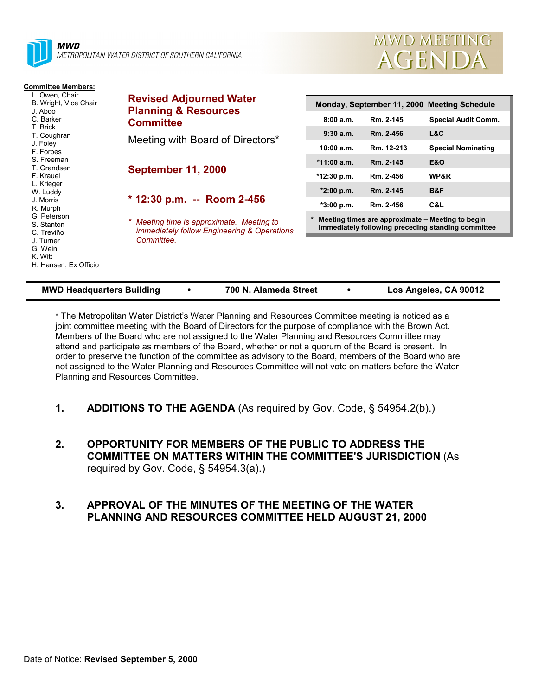



| <b>Committee Members:</b>                                                                                                    |                                                                                                                                                                                      |                                                                                                        |            |                            |
|------------------------------------------------------------------------------------------------------------------------------|--------------------------------------------------------------------------------------------------------------------------------------------------------------------------------------|--------------------------------------------------------------------------------------------------------|------------|----------------------------|
| L. Owen, Chair<br>B. Wright, Vice Chair<br>J. Abdo<br>C. Barker<br>T. Brick<br>T. Coughran                                   | <b>Revised Adjourned Water</b><br><b>Planning &amp; Resources</b><br><b>Committee</b><br>Meeting with Board of Directors*<br><b>September 11, 2000</b><br>* 12:30 p.m. -- Room 2-456 | Monday, September 11, 2000 Meeting Schedule                                                            |            |                            |
|                                                                                                                              |                                                                                                                                                                                      | 8:00a.m.                                                                                               | Rm. 2-145  | <b>Special Audit Comm.</b> |
|                                                                                                                              |                                                                                                                                                                                      | 9:30 a.m.                                                                                              | Rm. 2-456  | L&C                        |
| J. Foley<br>F. Forbes                                                                                                        |                                                                                                                                                                                      | 10:00 a.m.                                                                                             | Rm. 12-213 | <b>Special Nominating</b>  |
| S. Freeman<br>T. Grandsen                                                                                                    |                                                                                                                                                                                      | $*11:00$ a.m.                                                                                          | Rm. 2-145  | E&O                        |
| F. Krauel                                                                                                                    |                                                                                                                                                                                      | *12:30 p.m.                                                                                            | Rm. 2-456  | WP&R                       |
| L. Krieger<br>W. Luddy                                                                                                       |                                                                                                                                                                                      | $*2:00$ p.m.                                                                                           | Rm. 2-145  | B&F                        |
| J. Morris<br>R. Murph<br>G. Peterson<br>S. Stanton<br>C. Treviño<br>J. Turner<br>G. Wein<br>K. Witt<br>H. Hansen, Ex Officio |                                                                                                                                                                                      | *3:00 p.m.                                                                                             | Rm. 2-456  | C&L                        |
|                                                                                                                              | Meeting time is approximate. Meeting to<br><i>immediately follow Engineering &amp; Operations</i>                                                                                    | Meeting times are approximate – Meeting to begin<br>immediately following preceding standing committee |            |                            |
|                                                                                                                              | Committee.                                                                                                                                                                           |                                                                                                        |            |                            |

| <b>MWD Headquarters Building</b> | 700 N. Alameda Street | Los Angeles, CA 90012 |
|----------------------------------|-----------------------|-----------------------|
|                                  |                       |                       |

\* The Metropolitan Water District's Water Planning and Resources Committee meeting is noticed as a joint committee meeting with the Board of Directors for the purpose of compliance with the Brown Act. Members of the Board who are not assigned to the Water Planning and Resources Committee may attend and participate as members of the Board, whether or not a quorum of the Board is present. In order to preserve the function of the committee as advisory to the Board, members of the Board who are not assigned to the Water Planning and Resources Committee will not vote on matters before the Water Planning and Resources Committee.

- **1. ADDITIONS TO THE AGENDA** (As required by Gov. Code, § 54954.2(b).)
- **2. OPPORTUNITY FOR MEMBERS OF THE PUBLIC TO ADDRESS THE COMMITTEE ON MATTERS WITHIN THE COMMITTEE'S JURISDICTION** (As required by Gov. Code, § 54954.3(a).)

### **3. APPROVAL OF THE MINUTES OF THE MEETING OF THE WATER PLANNING AND RESOURCES COMMITTEE HELD AUGUST 21, 2000**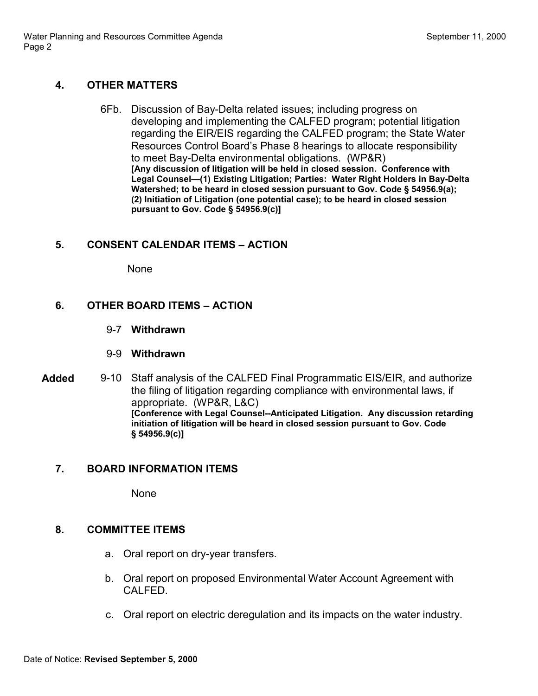### **4. OTHER MATTERS**

6Fb. Discussion of Bay-Delta related issues; including progress on developing and implementing the CALFED program; potential litigation regarding the EIR/EIS regarding the CALFED program; the State Water Resources Control Board's Phase 8 hearings to allocate responsibility to meet Bay-Delta environmental obligations. (WP&R) **[Any discussion of litigation will be held in closed session. Conference with Legal Counsel—(1) Existing Litigation; Parties: Water Right Holders in Bay-Delta Watershed; to be heard in closed session pursuant to Gov. Code § 54956.9(a); (2) Initiation of Litigation (one potential case); to be heard in closed session pursuant to Gov. Code § 54956.9(c)]**

## **5. CONSENT CALENDAR ITEMS – ACTION**

None

### **6. OTHER BOARD ITEMS – ACTION**

- 9-7 **Withdrawn**
- 9-9 **Withdrawn**
- **Added** 9-10 Staff analysis of the CALFED Final Programmatic EIS/EIR, and authorize the filing of litigation regarding compliance with environmental laws, if appropriate. (WP&R, L&C) **[Conference with Legal Counsel--Anticipated Litigation. Any discussion retarding initiation of litigation will be heard in closed session pursuant to Gov. Code § 54956.9(c)]**

### **7. BOARD INFORMATION ITEMS**

None

### **8. COMMITTEE ITEMS**

- a. Oral report on dry-year transfers.
- b. Oral report on proposed Environmental Water Account Agreement with CALFED.
- c. Oral report on electric deregulation and its impacts on the water industry.